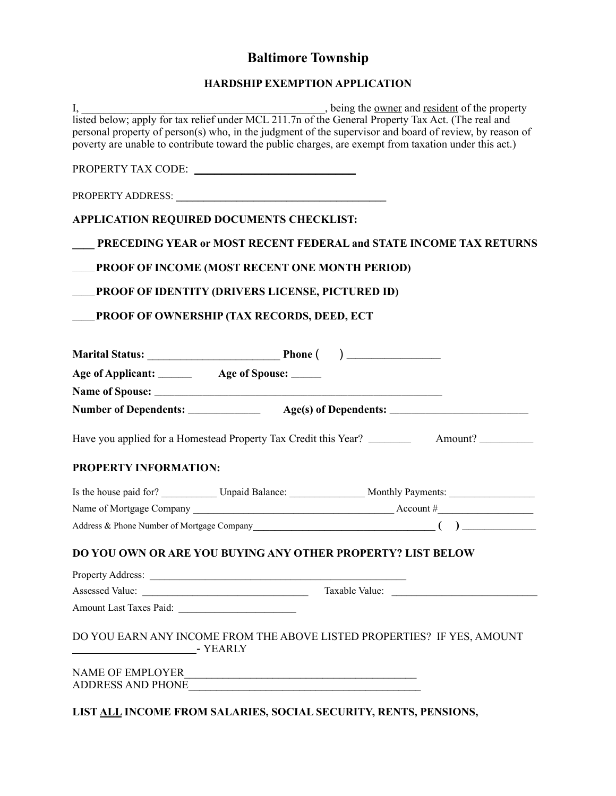# **Baltimore Township**

## **HARDSHIP EXEMPTION APPLICATION**

| personal property of person(s) who, in the judgment of the supervisor and board of review, by reason of<br>poverty are unable to contribute toward the public charges, are exempt from taxation under this act.)                    |  |  |
|-------------------------------------------------------------------------------------------------------------------------------------------------------------------------------------------------------------------------------------|--|--|
|                                                                                                                                                                                                                                     |  |  |
|                                                                                                                                                                                                                                     |  |  |
| <b>APPLICATION REQUIRED DOCUMENTS CHECKLIST:</b>                                                                                                                                                                                    |  |  |
| <b>EXAMPLE PRECEDING YEAR or MOST RECENT FEDERAL and STATE INCOME TAX RETURNS</b>                                                                                                                                                   |  |  |
| <b>EXAMPLE PROOF OF INCOME (MOST RECENT ONE MONTH PERIOD)</b>                                                                                                                                                                       |  |  |
| <b>EXAMPLE PROOF OF IDENTITY (DRIVERS LICENSE, PICTURED ID)</b>                                                                                                                                                                     |  |  |
| <b>EXAMPLE PROOF OF OWNERSHIP (TAX RECORDS, DEED, ECT</b>                                                                                                                                                                           |  |  |
|                                                                                                                                                                                                                                     |  |  |
| Age of Applicant: ____________ Age of Spouse: ______                                                                                                                                                                                |  |  |
| Name of Spouse: <u>and Spouse</u> and Spouse and Spouse and Spouse and Spouse and Spouse and Spouse and Spouse and Spouse and Spouse and Spouse and Spouse and Spouse and Spouse and Spouse and Spouse and Spouse and Spouse and Sp |  |  |
|                                                                                                                                                                                                                                     |  |  |
|                                                                                                                                                                                                                                     |  |  |
| <b>PROPERTY INFORMATION:</b>                                                                                                                                                                                                        |  |  |
| Is the house paid for? Unpaid Balance: Monthly Payments: Monthly Payments:                                                                                                                                                          |  |  |
|                                                                                                                                                                                                                                     |  |  |
| Address & Phone Number of Mortgage Company<br><u>Canadian Company</u>                                                                                                                                                               |  |  |
| DO YOU OWN OR ARE YOU BUYING ANY OTHER PROPERTY? LIST BELOW                                                                                                                                                                         |  |  |
|                                                                                                                                                                                                                                     |  |  |
|                                                                                                                                                                                                                                     |  |  |
| Amount Last Taxes Paid:                                                                                                                                                                                                             |  |  |
| DO YOU EARN ANY INCOME FROM THE ABOVE LISTED PROPERTIES? IF YES, AMOUNT<br>- YEARLY                                                                                                                                                 |  |  |
|                                                                                                                                                                                                                                     |  |  |
| LIST ALL INCOME FROM SALARIES, SOCIAL SECURITY, RENTS, PENSIONS,                                                                                                                                                                    |  |  |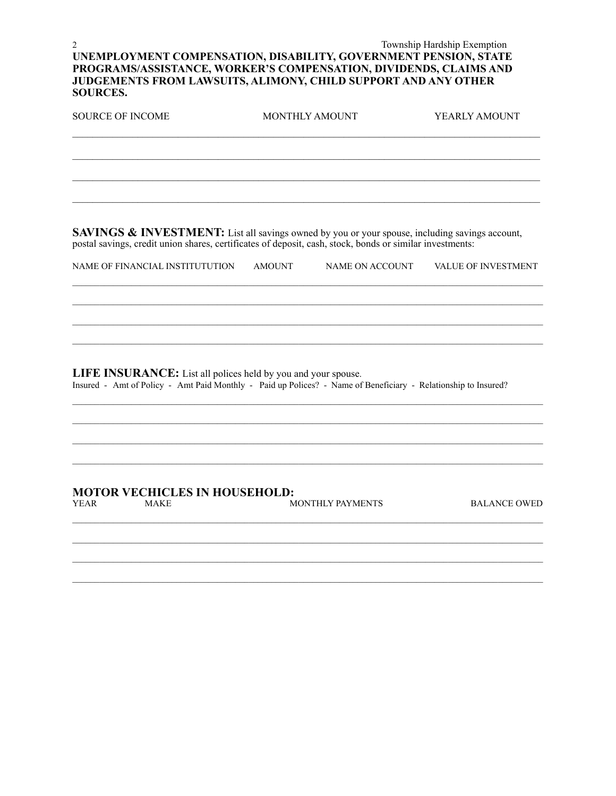<sup>2</sup><br>Township Hardship Exemption<br>UNEMPLOYMENT COMPENSATION, DISABILITY, GOVERNMENT PENSION, STATE PROGRAMS/ASSISTANCE, WORKER'S COMPENSATION, DIVIDENDS, CLAIMS AND JUDGEMENTS FROM LAWSUITS, ALIMONY, CHILD SUPPORT AND ANY OTHER **SOURCES.** 

| <b>SOURCE OF INCOME</b>                                                                                                                                                                                               | MONTHLY AMOUNT |                  | YEARLY AMOUNT       |  |
|-----------------------------------------------------------------------------------------------------------------------------------------------------------------------------------------------------------------------|----------------|------------------|---------------------|--|
|                                                                                                                                                                                                                       |                |                  |                     |  |
| <b>SAVINGS &amp; INVESTMENT:</b> List all savings owned by you or your spouse, including savings account,<br>postal savings, credit union shares, certificates of deposit, cash, stock, bonds or similar investments: |                |                  |                     |  |
| NAME OF FINANCIAL INSTITUTUTION                                                                                                                                                                                       | <b>AMOUNT</b>  | NAME ON ACCOUNT  | VALUE OF INVESTMENT |  |
|                                                                                                                                                                                                                       |                |                  |                     |  |
|                                                                                                                                                                                                                       |                |                  |                     |  |
| LIFE INSURANCE: List all polices held by you and your spouse.<br>Insured - Amt of Policy - Amt Paid Monthly - Paid up Polices? - Name of Beneficiary - Relationship to Insured?                                       |                |                  |                     |  |
| <b>MOTOR VECHICLES IN HOUSEHOLD:</b><br><b>YEAR</b><br><b>MAKE</b>                                                                                                                                                    |                | MONTHLY PAYMENTS | <b>BALANCE OWED</b> |  |
|                                                                                                                                                                                                                       |                |                  |                     |  |
|                                                                                                                                                                                                                       |                |                  |                     |  |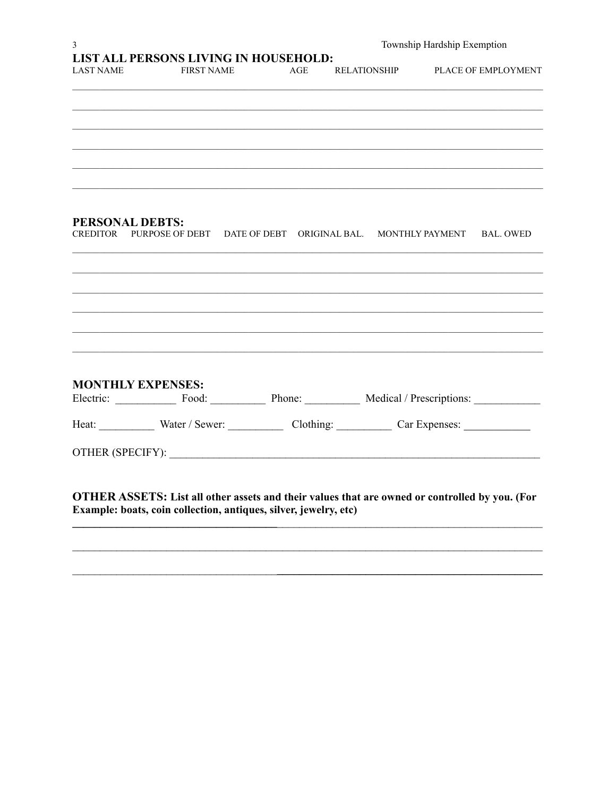| 3                        |                                                                                                                                                                           |     | Township Hardship Exemption |                                  |
|--------------------------|---------------------------------------------------------------------------------------------------------------------------------------------------------------------------|-----|-----------------------------|----------------------------------|
| <b>LAST NAME</b>         | <b>LIST ALL PERSONS LIVING IN HOUSEHOLD:</b><br><b>FIRST NAME</b>                                                                                                         | AGE |                             | RELATIONSHIP PLACE OF EMPLOYMENT |
|                          |                                                                                                                                                                           |     |                             |                                  |
|                          |                                                                                                                                                                           |     |                             |                                  |
|                          |                                                                                                                                                                           |     |                             |                                  |
|                          |                                                                                                                                                                           |     |                             |                                  |
|                          |                                                                                                                                                                           |     |                             |                                  |
| <b>PERSONAL DEBTS:</b>   | CREDITOR PURPOSE OF DEBT DATE OF DEBT ORIGINAL BAL. MONTHLY PAYMENT                                                                                                       |     |                             | <b>BAL. OWED</b>                 |
|                          |                                                                                                                                                                           |     |                             |                                  |
|                          |                                                                                                                                                                           |     |                             |                                  |
|                          |                                                                                                                                                                           |     |                             |                                  |
|                          |                                                                                                                                                                           |     |                             |                                  |
|                          |                                                                                                                                                                           |     |                             |                                  |
| <b>MONTHLY EXPENSES:</b> | Electric: Food: Food: Phone: Medical / Prescriptions:                                                                                                                     |     |                             |                                  |
|                          | Heat: Water / Sewer: Clothing: Car Expenses:                                                                                                                              |     |                             |                                  |
|                          |                                                                                                                                                                           |     |                             |                                  |
|                          | <b>OTHER ASSETS:</b> List all other assets and their values that are owned or controlled by you. (For<br>Example: boats, coin collection, antiques, silver, jewelry, etc) |     |                             |                                  |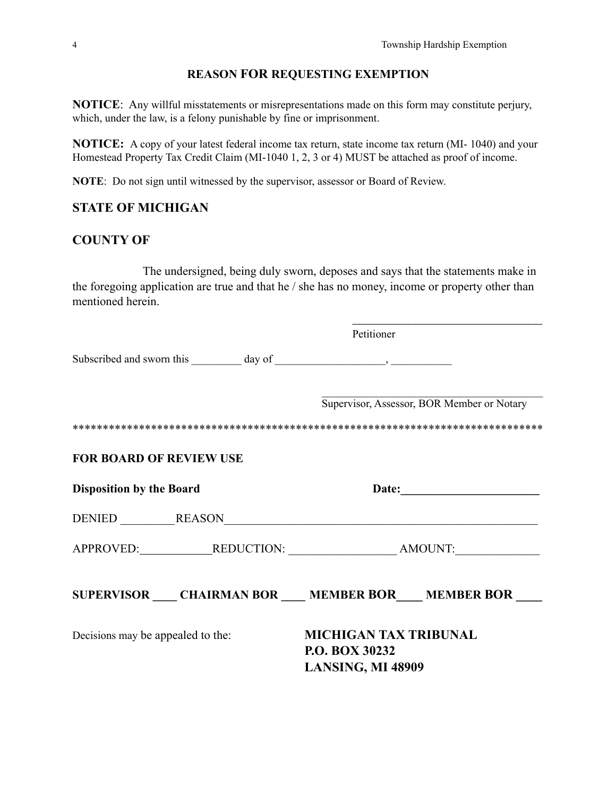#### **REASON FOR REQUESTING EXEMPTION**

**NOTICE**: Any willful misstatements or misrepresentations made on this form may constitute perjury, which, under the law, is a felony punishable by fine or imprisonment.

**NOTICE:** A copy of your latest federal income tax return, state income tax return (MI- 1040) and your Homestead Property Tax Credit Claim (MI-1040 1, 2, 3 or 4) MUST be attached as proof of income.

**NOTE**: Do not sign until witnessed by the supervisor, assessor or Board of Review.

#### **STATE OF MICHIGAN**

### **COUNTY OF**

The undersigned, being duly sworn, deposes and says that the statements make in the foregoing application are true and that he / she has no money, income or property other than mentioned herein.

|                                   |                                               | Petitioner                                                                 |                                            |
|-----------------------------------|-----------------------------------------------|----------------------------------------------------------------------------|--------------------------------------------|
|                                   |                                               |                                                                            |                                            |
|                                   |                                               |                                                                            | Supervisor, Assessor, BOR Member or Notary |
| <b>FOR BOARD OF REVIEW USE</b>    |                                               |                                                                            |                                            |
| <b>Disposition by the Board</b>   |                                               |                                                                            |                                            |
|                                   | DENIED REASON                                 |                                                                            |                                            |
|                                   |                                               |                                                                            |                                            |
|                                   | SUPERVISOR CHAIRMAN BOR MEMBER BOR MEMBER BOR |                                                                            |                                            |
| Decisions may be appealed to the: |                                               | <b>MICHIGAN TAX TRIBUNAL</b><br><b>P.O. BOX 30232</b><br>LANSING, MI 48909 |                                            |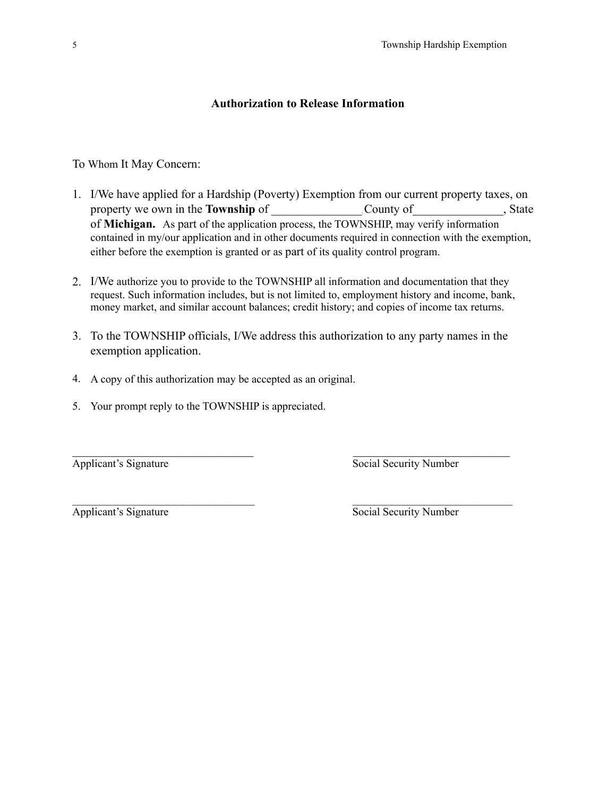#### **Authorization to Release Information**

#### To Whom It May Concern:

- 1. I/We have applied for a Hardship (Poverty) Exemption from our current property taxes, on property we own in the **Township** of \_\_\_\_\_\_\_\_\_\_\_\_\_\_\_\_County of \_\_\_\_\_\_\_\_\_\_\_\_, State of **Michigan.** As part of the application process, the TOWNSHIP, may verify information contained in my/our application and in other documents required in connection with the exemption, either before the exemption is granted or as part of its quality control program.
- 2. I/We authorize you to provide to the TOWNSHIP all information and documentation that they request. Such information includes, but is not limited to, employment history and income, bank, money market, and similar account balances; credit history; and copies of income tax returns.
- 3. To the TOWNSHIP officials, I/We address this authorization to any party names in the exemption application.

 $\mathcal{L}_\text{max}$  , and the contribution of the contribution of  $\mathcal{L}_\text{max}$  , and the contribution of  $\mathcal{L}_\text{max}$ 

 $\mathcal{L}_\text{max} = \frac{1}{2} \sum_{i=1}^n \mathcal{L}_\text{max}(\mathbf{z}_i - \mathbf{z}_i)$ 

- 4. A copy of this authorization may be accepted as an original.
- 5. Your prompt reply to the TOWNSHIP is appreciated.

Applicant's Signature Social Security Number

Applicant's Signature Social Security Number